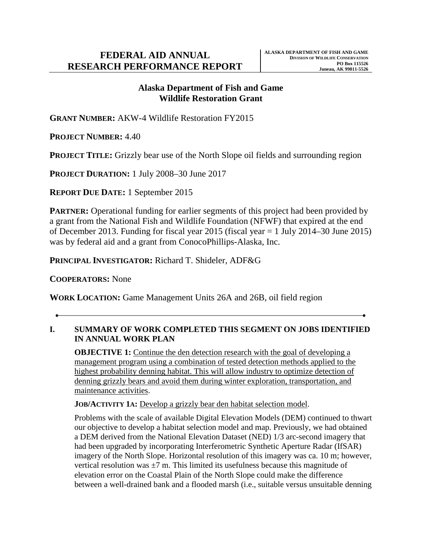# **Alaska Department of Fish and Game Wildlife Restoration Grant**

**GRANT NUMBER:** AKW-4 Wildlife Restoration FY2015

**PROJECT NUMBER:** 4.40

**PROJECT TITLE:** Grizzly bear use of the North Slope oil fields and surrounding region

**PROJECT DURATION:** 1 July 2008–30 June 2017

**REPORT DUE DATE:** 1 September 2015

**PARTNER:** Operational funding for earlier segments of this project had been provided by a grant from the National Fish and Wildlife Foundation (NFWF) that expired at the end of December 2013. Funding for fiscal year 2015 (fiscal year = 1 July 2014–30 June 2015) was by federal aid and a grant from ConocoPhillips-Alaska, Inc.

**PRINCIPAL INVESTIGATOR:** Richard T. Shideler, ADF&G

**COOPERATORS:** None

**WORK LOCATION:** Game Management Units 26A and 26B, oil field region

# **I. SUMMARY OF WORK COMPLETED THIS SEGMENT ON JOBS IDENTIFIED IN ANNUAL WORK PLAN**

**OBJECTIVE 1:** Continue the den detection research with the goal of developing a management program using a combination of tested detection methods applied to the highest probability denning habitat. This will allow industry to optimize detection of denning grizzly bears and avoid them during winter exploration, transportation, and maintenance activities.

**JOB/ACTIVITY 1A:** Develop a grizzly bear den habitat selection model.

Problems with the scale of available Digital Elevation Models (DEM) continued to thwart our objective to develop a habitat selection model and map. Previously, we had obtained a DEM derived from the National Elevation Dataset (NED) 1/3 arc-second imagery that had been upgraded by incorporating Interferometric Synthetic Aperture Radar (IfSAR) imagery of the North Slope. Horizontal resolution of this imagery was ca. 10 m; however, vertical resolution was  $\pm 7$  m. This limited its usefulness because this magnitude of elevation error on the Coastal Plain of the North Slope could make the difference between a well-drained bank and a flooded marsh (i.e., suitable versus unsuitable denning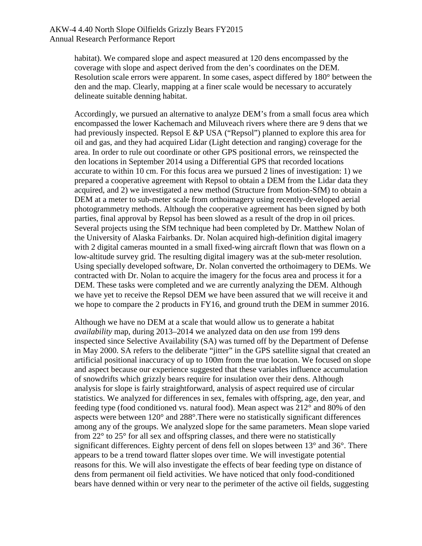habitat). We compared slope and aspect measured at 120 dens encompassed by the coverage with slope and aspect derived from the den's coordinates on the DEM. Resolution scale errors were apparent. In some cases, aspect differed by 180° between the den and the map. Clearly, mapping at a finer scale would be necessary to accurately delineate suitable denning habitat.

Accordingly, we pursued an alternative to analyze DEM's from a small focus area which encompassed the lower Kachemach and Miluveach rivers where there are 9 dens that we had previously inspected. Repsol  $E \& P \text{USA}$  ("Repsol") planned to explore this area for oil and gas, and they had acquired Lidar (Light detection and ranging) coverage for the area. In order to rule out coordinate or other GPS positional errors, we reinspected the den locations in September 2014 using a Differential GPS that recorded locations accurate to within 10 cm. For this focus area we pursued 2 lines of investigation: 1) we prepared a cooperative agreement with Repsol to obtain a DEM from the Lidar data they acquired, and 2) we investigated a new method (Structure from Motion-SfM) to obtain a DEM at a meter to sub-meter scale from orthoimagery using recently-developed aerial photogrammetry methods. Although the cooperative agreement has been signed by both parties, final approval by Repsol has been slowed as a result of the drop in oil prices. Several projects using the SfM technique had been completed by Dr. Matthew Nolan of the University of Alaska Fairbanks. Dr. Nolan acquired high-definition digital imagery with 2 digital cameras mounted in a small fixed-wing aircraft flown that was flown on a low-altitude survey grid. The resulting digital imagery was at the sub-meter resolution. Using specially developed software, Dr. Nolan converted the orthoimagery to DEMs. We contracted with Dr. Nolan to acquire the imagery for the focus area and process it for a DEM. These tasks were completed and we are currently analyzing the DEM. Although we have yet to receive the Repsol DEM we have been assured that we will receive it and we hope to compare the 2 products in FY16, and ground truth the DEM in summer 2016.

Although we have no DEM at a scale that would allow us to generate a habitat *availability* map, during 2013–2014 we analyzed data on den *use* from 199 dens inspected since Selective Availability (SA) was turned off by the Department of Defense in May 2000. SA refers to the deliberate "jitter" in the GPS satellite signal that created an artificial positional inaccuracy of up to 100m from the true location. We focused on slope and aspect because our experience suggested that these variables influence accumulation of snowdrifts which grizzly bears require for insulation over their dens. Although analysis for slope is fairly straightforward, analysis of aspect required use of circular statistics. We analyzed for differences in sex, females with offspring, age, den year, and feeding type (food conditioned vs. natural food). Mean aspect was 212° and 80% of den aspects were between 120° and 288°.There were no statistically significant differences among any of the groups. We analyzed slope for the same parameters. Mean slope varied from  $22^{\circ}$  to  $25^{\circ}$  for all sex and offspring classes, and there were no statistically significant differences. Eighty percent of dens fell on slopes between 13° and 36°. There appears to be a trend toward flatter slopes over time. We will investigate potential reasons for this. We will also investigate the effects of bear feeding type on distance of dens from permanent oil field activities. We have noticed that only food-conditioned bears have denned within or very near to the perimeter of the active oil fields, suggesting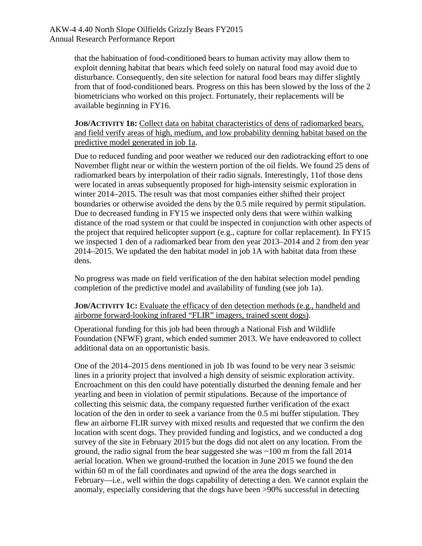that the habituation of food-conditioned bears to human activity may allow them to exploit denning habitat that bears which feed solely on natural food may avoid due to disturbance. Consequently, den site selection for natural food bears may differ slightly from that of food-conditioned bears. Progress on this has been slowed by the loss of the 2 biometricians who worked on this project. Fortunately, their replacements will be available beginning in FY16.

**JOB/ACTIVITY 1B:** Collect data on habitat characteristics of dens of radiomarked bears, and field verify areas of high, medium, and low probability denning habitat based on the predictive model generated in job 1a.

Due to reduced funding and poor weather we reduced our den radiotracking effort to one November flight near or within the western portion of the oil fields. We found 25 dens of radiomarked bears by interpolation of their radio signals. Interestingly, 11of those dens were located in areas subsequently proposed for high-intensity seismic exploration in winter 2014–2015. The result was that most companies either shifted their project boundaries or otherwise avoided the dens by the 0.5 mile required by permit stipulation. Due to decreased funding in FY15 we inspected only dens that were within walking distance of the road system or that could be inspected in conjunction with other aspects of the project that required helicopter support (e.g., capture for collar replacement). In FY15 we inspected 1 den of a radiomarked bear from den year 2013–2014 and 2 from den year 2014–2015. We updated the den habitat model in job 1A with habitat data from these dens.

No progress was made on field verification of the den habitat selection model pending completion of the predictive model and availability of funding (see job 1a).

**JOB/ACTIVITY 1C:** Evaluate the efficacy of den detection methods (e.g., handheld and airborne forward-looking infrared "FLIR" imagers, trained scent dogs).

Operational funding for this job had been through a National Fish and Wildlife Foundation (NFWF) grant, which ended summer 2013. We have endeavored to collect additional data on an opportunistic basis.

One of the 2014–2015 dens mentioned in job 1b was found to be very near 3 seismic lines in a priority project that involved a high density of seismic exploration activity. Encroachment on this den could have potentially disturbed the denning female and her yearling and been in violation of permit stipulations. Because of the importance of collecting this seismic data, the company requested further verification of the exact location of the den in order to seek a variance from the 0.5 mi buffer stipulation. They flew an airborne FLIR survey with mixed results and requested that we confirm the den location with scent dogs. They provided funding and logistics, and we conducted a dog survey of the site in February 2015 but the dogs did not alert on any location. From the ground, the radio signal from the bear suggested she was ~100 m from the fall 2014 aerial location. When we ground-truthed the location in June 2015 we found the den within 60 m of the fall coordinates and upwind of the area the dogs searched in February—i.e., well within the dogs capability of detecting a den. We cannot explain the anomaly, especially considering that the dogs have been >90% successful in detecting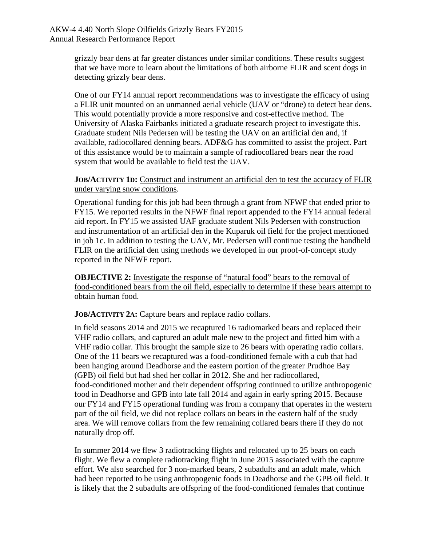grizzly bear dens at far greater distances under similar conditions. These results suggest that we have more to learn about the limitations of both airborne FLIR and scent dogs in detecting grizzly bear dens.

One of our FY14 annual report recommendations was to investigate the efficacy of using a FLIR unit mounted on an unmanned aerial vehicle (UAV or "drone) to detect bear dens. This would potentially provide a more responsive and cost-effective method. The University of Alaska Fairbanks initiated a graduate research project to investigate this. Graduate student Nils Pedersen will be testing the UAV on an artificial den and, if available, radiocollared denning bears. ADF&G has committed to assist the project. Part of this assistance would be to maintain a sample of radiocollared bears near the road system that would be available to field test the UAV.

**JOB/ACTIVITY 1D:** Construct and instrument an artificial den to test the accuracy of FLIR under varying snow conditions.

Operational funding for this job had been through a grant from NFWF that ended prior to FY15. We reported results in the NFWF final report appended to the FY14 annual federal aid report. In FY15 we assisted UAF graduate student Nils Pedersen with construction and instrumentation of an artificial den in the Kuparuk oil field for the project mentioned in job 1c. In addition to testing the UAV, Mr. Pedersen will continue testing the handheld FLIR on the artificial den using methods we developed in our proof-of-concept study reported in the NFWF report.

**OBJECTIVE 2:** Investigate the response of "natural food" bears to the removal of food-conditioned bears from the oil field, especially to determine if these bears attempt to obtain human food.

### **JOB/ACTIVITY 2A:** Capture bears and replace radio collars.

In field seasons 2014 and 2015 we recaptured 16 radiomarked bears and replaced their VHF radio collars, and captured an adult male new to the project and fitted him with a VHF radio collar. This brought the sample size to 26 bears with operating radio collars. One of the 11 bears we recaptured was a food-conditioned female with a cub that had been hanging around Deadhorse and the eastern portion of the greater Prudhoe Bay (GPB) oil field but had shed her collar in 2012. She and her radiocollared, food-conditioned mother and their dependent offspring continued to utilize anthropogenic food in Deadhorse and GPB into late fall 2014 and again in early spring 2015. Because our FY14 and FY15 operational funding was from a company that operates in the western part of the oil field, we did not replace collars on bears in the eastern half of the study area. We will remove collars from the few remaining collared bears there if they do not naturally drop off.

In summer 2014 we flew 3 radiotracking flights and relocated up to 25 bears on each flight. We flew a complete radiotracking flight in June 2015 associated with the capture effort. We also searched for 3 non-marked bears, 2 subadults and an adult male, which had been reported to be using anthropogenic foods in Deadhorse and the GPB oil field. It is likely that the 2 subadults are offspring of the food-conditioned females that continue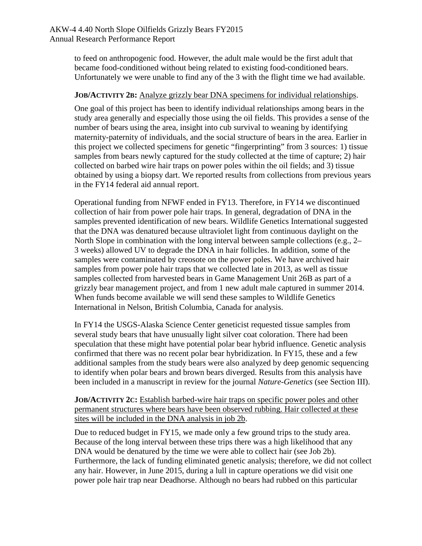to feed on anthropogenic food. However, the adult male would be the first adult that became food-conditioned without being related to existing food-conditioned bears. Unfortunately we were unable to find any of the 3 with the flight time we had available.

#### **JOB/ACTIVITY 2B:** Analyze grizzly bear DNA specimens for individual relationships.

One goal of this project has been to identify individual relationships among bears in the study area generally and especially those using the oil fields. This provides a sense of the number of bears using the area, insight into cub survival to weaning by identifying maternity-paternity of individuals, and the social structure of bears in the area. Earlier in this project we collected specimens for genetic "fingerprinting" from 3 sources: 1) tissue samples from bears newly captured for the study collected at the time of capture; 2) hair collected on barbed wire hair traps on power poles within the oil fields; and 3) tissue obtained by using a biopsy dart. We reported results from collections from previous years in the FY14 federal aid annual report.

Operational funding from NFWF ended in FY13. Therefore, in FY14 we discontinued collection of hair from power pole hair traps. In general, degradation of DNA in the samples prevented identification of new bears. Wildlife Genetics International suggested that the DNA was denatured because ultraviolet light from continuous daylight on the North Slope in combination with the long interval between sample collections (e.g., 2– 3 weeks) allowed UV to degrade the DNA in hair follicles. In addition, some of the samples were contaminated by creosote on the power poles. We have archived hair samples from power pole hair traps that we collected late in 2013, as well as tissue samples collected from harvested bears in Game Management Unit 26B as part of a grizzly bear management project, and from 1 new adult male captured in summer 2014. When funds become available we will send these samples to Wildlife Genetics International in Nelson, British Columbia, Canada for analysis.

In FY14 the USGS-Alaska Science Center geneticist requested tissue samples from several study bears that have unusually light silver coat coloration. There had been speculation that these might have potential polar bear hybrid influence. Genetic analysis confirmed that there was no recent polar bear hybridization. In FY15, these and a few additional samples from the study bears were also analyzed by deep genomic sequencing to identify when polar bears and brown bears diverged. Results from this analysis have been included in a manuscript in review for the journal *Nature-Genetics* (see Section III).

**JOB/ACTIVITY 2C:** Establish barbed-wire hair traps on specific power poles and other permanent structures where bears have been observed rubbing. Hair collected at these sites will be included in the DNA analysis in job 2b.

Due to reduced budget in FY15, we made only a few ground trips to the study area. Because of the long interval between these trips there was a high likelihood that any DNA would be denatured by the time we were able to collect hair (see Job 2b). Furthermore, the lack of funding eliminated genetic analysis; therefore, we did not collect any hair. However, in June 2015, during a lull in capture operations we did visit one power pole hair trap near Deadhorse. Although no bears had rubbed on this particular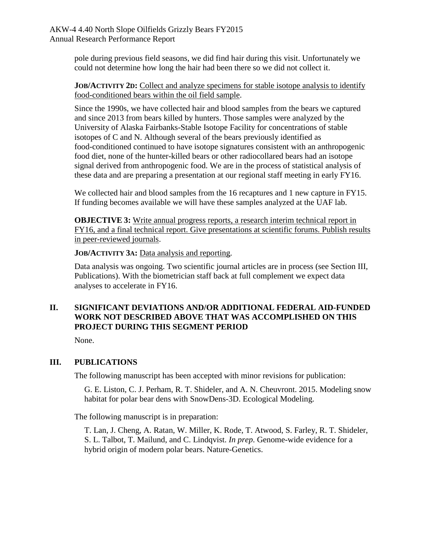pole during previous field seasons, we did find hair during this visit. Unfortunately we could not determine how long the hair had been there so we did not collect it.

**JOB/ACTIVITY 2D:** Collect and analyze specimens for stable isotope analysis to identify food-conditioned bears within the oil field sample.

Since the 1990s, we have collected hair and blood samples from the bears we captured and since 2013 from bears killed by hunters. Those samples were analyzed by the University of Alaska Fairbanks-Stable Isotope Facility for concentrations of stable isotopes of C and N. Although several of the bears previously identified as food-conditioned continued to have isotope signatures consistent with an anthropogenic food diet, none of the hunter-killed bears or other radiocollared bears had an isotope signal derived from anthropogenic food. We are in the process of statistical analysis of these data and are preparing a presentation at our regional staff meeting in early FY16.

We collected hair and blood samples from the 16 recaptures and 1 new capture in FY15. If funding becomes available we will have these samples analyzed at the UAF lab.

**OBJECTIVE 3:** Write annual progress reports, a research interim technical report in FY16, and a final technical report. Give presentations at scientific forums. Publish results in peer-reviewed journals.

**JOB/ACTIVITY 3A:** Data analysis and reporting.

Data analysis was ongoing. Two scientific journal articles are in process (see Section III, Publications). With the biometrician staff back at full complement we expect data analyses to accelerate in FY16.

## **II. SIGNIFICANT DEVIATIONS AND/OR ADDITIONAL FEDERAL AID-FUNDED WORK NOT DESCRIBED ABOVE THAT WAS ACCOMPLISHED ON THIS PROJECT DURING THIS SEGMENT PERIOD**

None.

## **III. PUBLICATIONS**

The following manuscript has been accepted with minor revisions for publication:

G. E. Liston, C. J. Perham, R. T. Shideler, and A. N. Cheuvront. 2015. Modeling snow habitat for polar bear dens with SnowDens-3D. Ecological Modeling.

The following manuscript is in preparation:

T. Lan, J. Cheng, A. Ratan, W. Miller, K. Rode, T. Atwood, S. Farley, R. T. Shideler, S. L. Talbot, T. Mailund, and C. Lindqvist. *In prep*. Genome-wide evidence for a hybrid origin of modern polar bears. Nature-Genetics.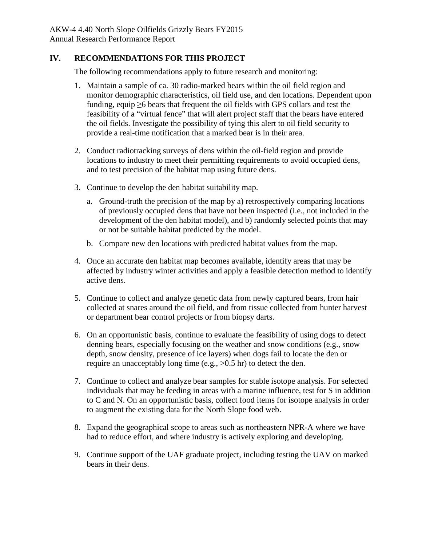### **IV. RECOMMENDATIONS FOR THIS PROJECT**

The following recommendations apply to future research and monitoring:

- 1. Maintain a sample of ca. 30 radio-marked bears within the oil field region and monitor demographic characteristics, oil field use, and den locations. Dependent upon funding, equip  $\geq 6$  bears that frequent the oil fields with GPS collars and test the feasibility of a "virtual fence" that will alert project staff that the bears have entered the oil fields. Investigate the possibility of tying this alert to oil field security to provide a real-time notification that a marked bear is in their area.
- 2. Conduct radiotracking surveys of dens within the oil-field region and provide locations to industry to meet their permitting requirements to avoid occupied dens, and to test precision of the habitat map using future dens.
- 3. Continue to develop the den habitat suitability map.
	- a. Ground-truth the precision of the map by a) retrospectively comparing locations of previously occupied dens that have not been inspected (i.e., not included in the development of the den habitat model), and b) randomly selected points that may or not be suitable habitat predicted by the model.
	- b. Compare new den locations with predicted habitat values from the map.
- 4. Once an accurate den habitat map becomes available, identify areas that may be affected by industry winter activities and apply a feasible detection method to identify active dens.
- 5. Continue to collect and analyze genetic data from newly captured bears, from hair collected at snares around the oil field, and from tissue collected from hunter harvest or department bear control projects or from biopsy darts.
- 6. On an opportunistic basis, continue to evaluate the feasibility of using dogs to detect denning bears, especially focusing on the weather and snow conditions (e.g., snow depth, snow density, presence of ice layers) when dogs fail to locate the den or require an unacceptably long time (e.g., >0.5 hr) to detect the den.
- 7. Continue to collect and analyze bear samples for stable isotope analysis. For selected individuals that may be feeding in areas with a marine influence, test for S in addition to C and N. On an opportunistic basis, collect food items for isotope analysis in order to augment the existing data for the North Slope food web.
- 8. Expand the geographical scope to areas such as northeastern NPR-A where we have had to reduce effort, and where industry is actively exploring and developing.
- 9. Continue support of the UAF graduate project, including testing the UAV on marked bears in their dens.